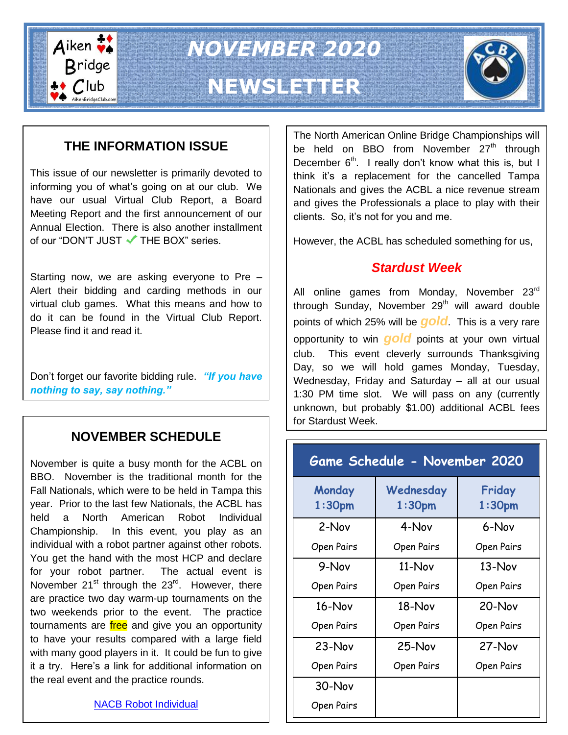

*NOVEMBER 2020*

## **NEWSLETTER**



## **THE INFORMATION ISSUE**

This issue of our newsletter is primarily devoted to informing you of what's going on at our club. We have our usual Virtual Club Report, a Board Meeting Report and the first announcement of our Annual Election. There is also another installment of our "DON'T JUST  $\blacktriangledown$  THE BOX" series.

Starting now, we are asking everyone to Pre – Alert their bidding and carding methods in our virtual club games. What this means and how to do it can be found in the Virtual Club Report. Please find it and read it.

Don't forget our favorite bidding rule. *"If you have nothing to say, say nothing."*

## **NOVEMBER SCHEDULE**

November is quite a busy month for the ACBL on BBO. November is the traditional month for the Fall Nationals, which were to be held in Tampa this year. Prior to the last few Nationals, the ACBL has held a North American Robot Individual Championship. In this event, you play as an individual with a robot partner against other robots. You get the hand with the most HCP and declare for your robot partner. The actual event is November 21<sup>st</sup> through the 23<sup>rd</sup>. However, there are practice two day warm-up tournaments on the two weekends prior to the event. The practice tournaments are free and give you an opportunity to have your results compared with a large field with many good players in it. It could be fun to give it a try. Here's a link for additional information on the real event and the practice rounds.

The North American Online Bridge Championships will be held on BBO from November 27<sup>th</sup> through December  $6<sup>th</sup>$ . I really don't know what this is, but I think it's a replacement for the cancelled Tampa Nationals and gives the ACBL a nice revenue stream and gives the Professionals a place to play with their clients. So, it's not for you and me.

However, the ACBL has scheduled something for us,

## *Stardust Week*

All online games from Monday, November 23rd through Sunday, November  $29<sup>th</sup>$  will award double points of which 25% will be *gold*. This is a very rare opportunity to win *gold* points at your own virtual club. This event cleverly surrounds Thanksgiving Day, so we will hold games Monday, Tuesday, Wednesday, Friday and Saturday – all at our usual 1:30 PM time slot. We will pass on any (currently unknown, but probably \$1.00) additional ACBL fees for Stardust Week.

| <b>Game Schedule - November 2020</b> |                                                                 |            |  |  |
|--------------------------------------|-----------------------------------------------------------------|------------|--|--|
| Monday<br>1:30 <sub>pm</sub>         | Wednesday<br>Friday<br>1:30 <sub>pm</sub><br>1:30 <sub>pm</sub> |            |  |  |
| 2-Nov                                | 4-Nov                                                           | 6-Nov      |  |  |
| Open Pairs                           | Open Pairs                                                      | Open Pairs |  |  |
| 9-Nov                                | $11-Nov$                                                        | 13-Nov     |  |  |
| Open Pairs                           | Open Pairs                                                      | Open Pairs |  |  |
| $16 - Nov$                           | $18-Nov$                                                        | 20-Nov     |  |  |
| Open Pairs                           | Open Pairs                                                      | Open Pairs |  |  |
| $23-Nov$                             | 25-Nov                                                          | 27-Nov     |  |  |
| Open Pairs                           | Open Pairs                                                      | Open Pairs |  |  |
| 30-Nov                               |                                                                 |            |  |  |
| Open Pairs                           |                                                                 |            |  |  |

[NACB Robot Individual](https://nabc.acbl.org/nabcrobot/)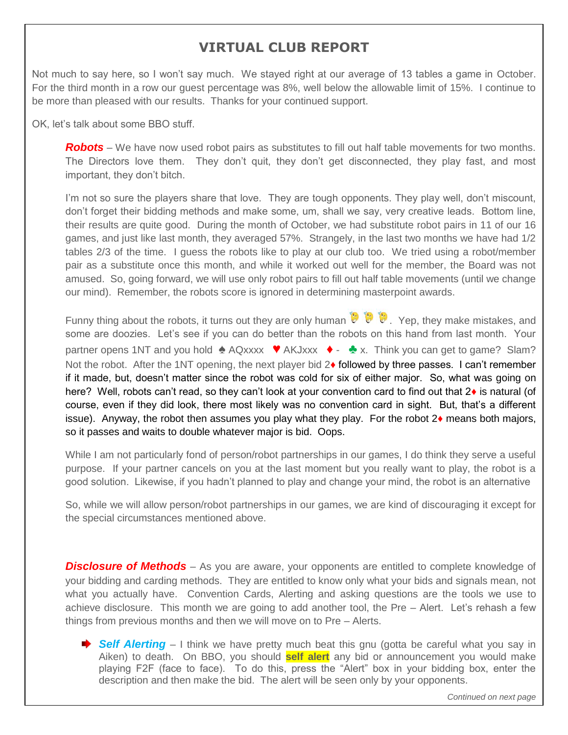## **VIRTUAL CLUB REPORT**

Not much to say here, so I won't say much. We stayed right at our average of 13 tables a game in October. For the third month in a row our guest percentage was 8%, well below the allowable limit of 15%. I continue to be more than pleased with our results. Thanks for your continued support.

OK, let's talk about some BBO stuff.

*Robots* – We have now used robot pairs as substitutes to fill out half table movements for two months. The Directors love them. They don't quit, they don't get disconnected, they play fast, and most important, they don't bitch.

I'm not so sure the players share that love. They are tough opponents. They play well, don't miscount, don't forget their bidding methods and make some, um, shall we say, very creative leads. Bottom line, their results are quite good. During the month of October, we had substitute robot pairs in 11 of our 16 games, and just like last month, they averaged 57%. Strangely, in the last two months we have had 1/2 tables 2/3 of the time. I guess the robots like to play at our club too. We tried using a robot/member pair as a substitute once this month, and while it worked out well for the member, the Board was not amused. So, going forward, we will use only robot pairs to fill out half table movements (until we change our mind). Remember, the robots score is ignored in determining masterpoint awards.

Funny thing about the robots, it turns out they are only human  $\bullet$   $\bullet$   $\bullet$ . Yep, they make mistakes, and some are doozies. Let's see if you can do better than the robots on this hand from last month. Your partner opens 1NT and you hold  $\triangleq$  AQxxxx  $\blacktriangledown$  AKJxxx  $\blacktriangledown$  -  $\triangleq$  x. Think you can get to game? Slam? Not the robot. After the 1NT opening, the next player bid  $2\bullet$  followed by three passes. I can't remember if it made, but, doesn't matter since the robot was cold for six of either major. So, what was going on here? Well, robots can't read, so they can't look at your convention card to find out that 2♦ is natural (of course, even if they did look, there most likely was no convention card in sight. But, that's a different issue). Anyway, the robot then assumes you play what they play. For the robot  $2\bullet$  means both majors, so it passes and waits to double whatever major is bid. Oops.

While I am not particularly fond of person/robot partnerships in our games, I do think they serve a useful purpose. If your partner cancels on you at the last moment but you really want to play, the robot is a good solution. Likewise, if you hadn't planned to play and change your mind, the robot is an alternative

So, while we will allow person/robot partnerships in our games, we are kind of discouraging it except for the special circumstances mentioned above.

**Disclosure of Methods** – As you are aware, your opponents are entitled to complete knowledge of your bidding and carding methods. They are entitled to know only what your bids and signals mean, not what you actually have. Convention Cards, Alerting and asking questions are the tools we use to achieve disclosure. This month we are going to add another tool, the Pre – Alert. Let's rehash a few things from previous months and then we will move on to Pre – Alerts.

**→ Self Alerting** – I think we have pretty much beat this gnu (gotta be careful what you say in Aiken) to death. On BBO, you should **self alert** any bid or announcement you would make playing F2F (face to face). To do this, press the "Alert" box in your bidding box, enter the description and then make the bid. The alert will be seen only by your opponents.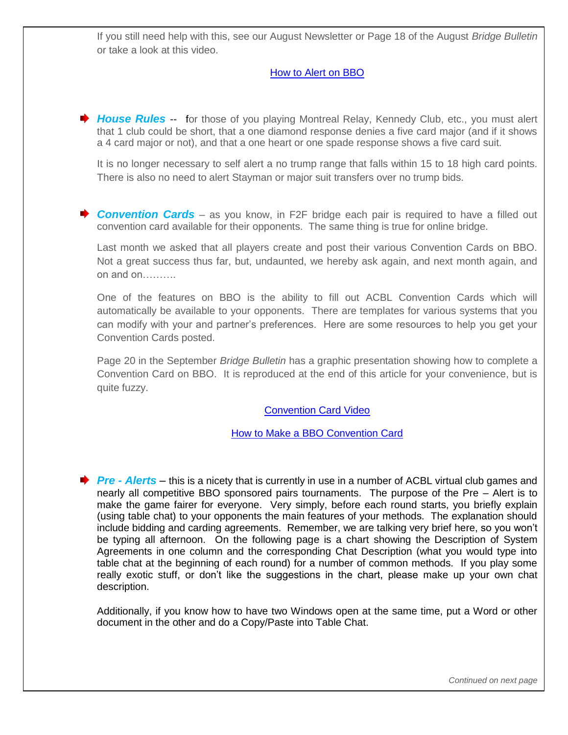If you still need help with this, see our August Newsletter or Page 18 of the August *Bridge Bulletin* or take a look at this video.

#### [How to Alert on BBO](https://zoom.us/rec/play/tJAlcuGqpjk3TNeQ4wSDVKQrW9W-LPqshnRI_KcOzka3V3ICZlOkYOQaYOMGGbkQLn-lKFQnmd8wxQdI?autoplay=true&startTime=1585578896000)

◆ **House Rules** -- for those of you playing Montreal Relay, Kennedy Club, etc., you must alert that 1 club could be short, that a one diamond response denies a five card major (and if it shows a 4 card major or not), and that a one heart or one spade response shows a five card suit.

It is no longer necessary to self alert a no trump range that falls within 15 to 18 high card points. There is also no need to alert Stayman or major suit transfers over no trump bids.

**Convention Cards** – as you know, in F2F bridge each pair is required to have a filled out convention card available for their opponents. The same thing is true for online bridge.

Last month we asked that all players create and post their various Convention Cards on BBO. Not a great success thus far, but, undaunted, we hereby ask again, and next month again, and on and on……….

One of the features on BBO is the ability to fill out ACBL Convention Cards which will automatically be available to your opponents. There are templates for various systems that you can modify with your and partner's preferences. Here are some resources to help you get your Convention Cards posted.

Page 20 in the September *Bridge Bulletin* has a graphic presentation showing how to complete a Convention Card on BBO. It is reproduced at the end of this article for your convenience, but is quite fuzzy.

[Convention Card Video](https://www.bing.com/videos/search?q=convention+cards+on+bbo&docid=608036475972619327&mid=D756C1E06BAA9C1C7CD1D756C1E06BAA9C1C7CD1&view=detail&FORM=VIRE)

[How to Make a BBO Convention Card](https://zoom.us/rec/play/6MAsI-v7qW83ToXGtwSDAfVxW9S8Kais1CUbqfBZnUrkBSRSN1H0Z7NEYeGVQZmmtrAjiJ24QSOTvrx8?autoplay=true&startTime=1585566516000)

*Pre - Alerts* – this is a nicety that is currently in use in a number of ACBL virtual club games and nearly all competitive BBO sponsored pairs tournaments. The purpose of the Pre – Alert is to make the game fairer for everyone. Very simply, before each round starts, you briefly explain (using table chat) to your opponents the main features of your methods. The explanation should include bidding and carding agreements. Remember, we are talking very brief here, so you won't be typing all afternoon. On the following page is a chart showing the Description of System Agreements in one column and the corresponding Chat Description (what you would type into table chat at the beginning of each round) for a number of common methods. If you play some really exotic stuff, or don't like the suggestions in the chart, please make up your own chat description.

Additionally, if you know how to have two Windows open at the same time, put a Word or other document in the other and do a Copy/Paste into Table Chat.

*Continued on next page*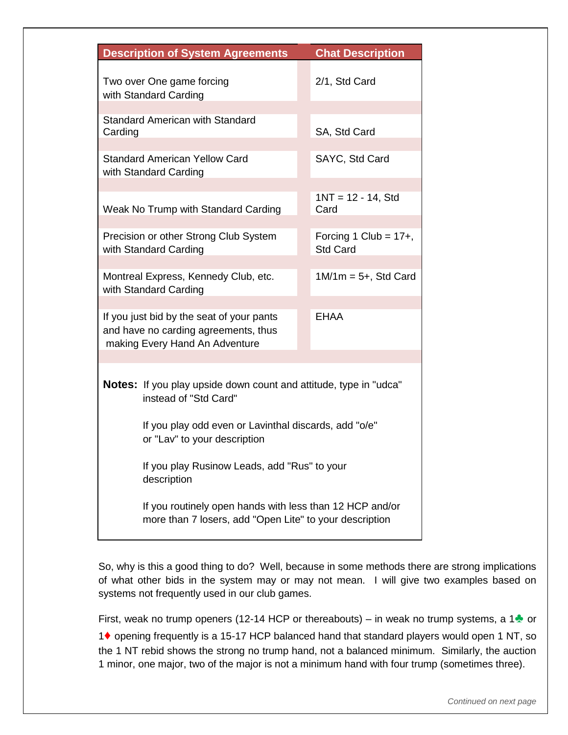| <b>Description of System Agreements</b>                                                                             | <b>Chat Description</b>                                                                                                                                                           |  |  |
|---------------------------------------------------------------------------------------------------------------------|-----------------------------------------------------------------------------------------------------------------------------------------------------------------------------------|--|--|
| Two over One game forcing<br>with Standard Carding                                                                  | 2/1, Std Card                                                                                                                                                                     |  |  |
| <b>Standard American with Standard</b><br>Carding                                                                   | SA, Std Card                                                                                                                                                                      |  |  |
| <b>Standard American Yellow Card</b><br>with Standard Carding                                                       | SAYC, Std Card                                                                                                                                                                    |  |  |
| Weak No Trump with Standard Carding                                                                                 | $1NT = 12 - 14$ , Std<br>Card                                                                                                                                                     |  |  |
| Precision or other Strong Club System<br>with Standard Carding                                                      | Forcing 1 Club = $17+$ ,<br><b>Std Card</b>                                                                                                                                       |  |  |
| Montreal Express, Kennedy Club, etc.<br>with Standard Carding                                                       | $1M/1m = 5+$ , Std Card                                                                                                                                                           |  |  |
| If you just bid by the seat of your pants<br>and have no carding agreements, thus<br>making Every Hand An Adventure | <b>EHAA</b>                                                                                                                                                                       |  |  |
| instead of "Std Card"<br>or "Lav" to your description<br>description                                                | <b>Notes:</b> If you play upside down count and attitude, type in "udca"<br>If you play odd even or Lavinthal discards, add "o/e"<br>If you play Rusinow Leads, add "Rus" to your |  |  |
| If you routinely open hands with less than 12 HCP and/or<br>more than 7 losers, add "Open Lite" to your description |                                                                                                                                                                                   |  |  |

So, why is this a good thing to do? Well, because in some methods there are strong implications of what other bids in the system may or may not mean. I will give two examples based on systems not frequently used in our club games.

First, weak no trump openers (12-14 HCP or thereabouts) – in weak no trump systems, a 1 $\bullet$  or

1♦ opening frequently is a 15-17 HCP balanced hand that standard players would open 1 NT, so the 1 NT rebid shows the strong no trump hand, not a balanced minimum. Similarly, the auction 1 minor, one major, two of the major is not a minimum hand with four trump (sometimes three).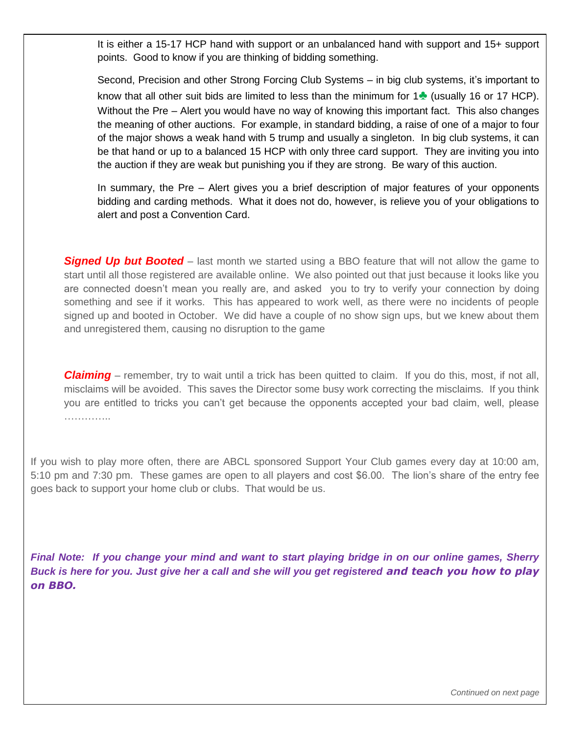It is either a 15-17 HCP hand with support or an unbalanced hand with support and 15+ support points. Good to know if you are thinking of bidding something.

Second, Precision and other Strong Forcing Club Systems – in big club systems, it's important to know that all other suit bids are limited to less than the minimum for 1♣ (usually 16 or 17 HCP). Without the Pre – Alert you would have no way of knowing this important fact. This also changes the meaning of other auctions. For example, in standard bidding, a raise of one of a major to four of the major shows a weak hand with 5 trump and usually a singleton. In big club systems, it can be that hand or up to a balanced 15 HCP with only three card support. They are inviting you into the auction if they are weak but punishing you if they are strong. Be wary of this auction.

In summary, the Pre – Alert gives you a brief description of major features of your opponents bidding and carding methods. What it does not do, however, is relieve you of your obligations to alert and post a Convention Card.

**Signed Up but Booted** – last month we started using a BBO feature that will not allow the game to start until all those registered are available online. We also pointed out that just because it looks like you are connected doesn't mean you really are, and asked you to try to verify your connection by doing something and see if it works. This has appeared to work well, as there were no incidents of people signed up and booted in October. We did have a couple of no show sign ups, but we knew about them and unregistered them, causing no disruption to the game

*Claiming* – remember, try to wait until a trick has been quitted to claim. If you do this, most, if not all, misclaims will be avoided. This saves the Director some busy work correcting the misclaims. If you think you are entitled to tricks you can't get because the opponents accepted your bad claim, well, please …………..

If you wish to play more often, there are ABCL sponsored Support Your Club games every day at 10:00 am, 5:10 pm and 7:30 pm. These games are open to all players and cost \$6.00. The lion's share of the entry fee goes back to support your home club or clubs. That would be us.

*Final Note: If you change your mind and want to start playing bridge in on our online games, Sherry Buck is here for you. Just give her a call and she will you get registered and teach you how to play on BBO.*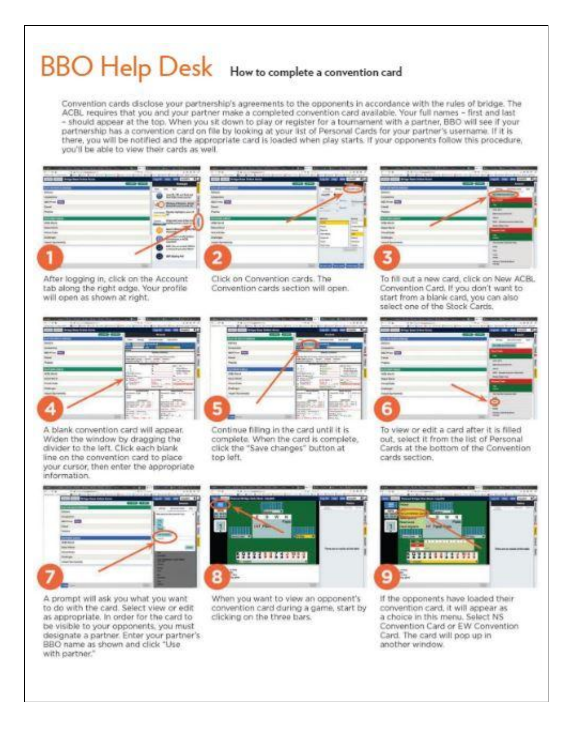# BBO Help Desk How to complete a convention card

Convention cards disclose your partnership's agreements to the opponents in accordance with the rules of bridge. The ACBL requires that you and your partner make a completed convention card available. Your full names - first and last - should appear at the top. When you sit down to play or register for a tournament with a partner, BBO will see if your partnership has a convention card on file by looking at your list of Personal Cards for your partner's username. If it is there, you will be notified and the appropriate card is loaded when play starts. If your opponents follow this procedure, you'll be able to view their cards as well.



**VOID** 

After logging in, click on the Account tab along the right edge. Your profile will open as shown at right.

Click on Convention cards. The Convention cards section will open.



To fill out a new card, click on New ACBL. Convention Card. If you don't want to start from a blank card, you can also select one of the Stock Cards.



A blank convention card will appear. Widen the window by dragging the divider to the left. Click each blank line on the convention card to place your cursor, then enter the appropriate information.



Continue filling in the card until it is complete. When the card is complete, click the "Save changes" button at top left.



To view or edit a card after it is filled out, select it from the list of Personal Cards at the bottom of the Convention cards section.



A prompt will ask you what you want to do with the card. Select view or edit as appropriate. In order for the card to be visible to your opponents, you must designate a partner. Enter your partner's BBO name as shown and click "Use with partner."



When you want to view an opponent's convention card during a game, start by clicking on the three bars.



If the opponents have loaded their convention card, it will appear as a choice in this menu. Select NS Convention Card or EW Convention Card. The card will pop up in another window.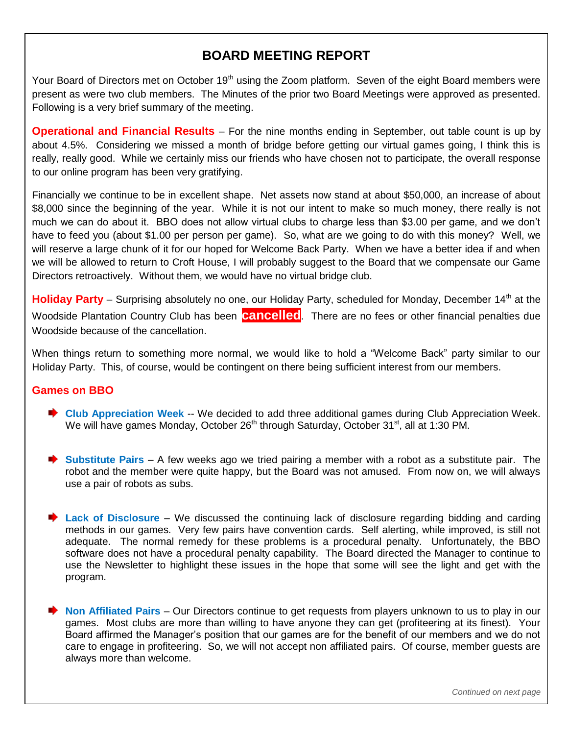## **BOARD MEETING REPORT**

Your Board of Directors met on October 19<sup>th</sup> using the Zoom platform. Seven of the eight Board members were present as were two club members. The Minutes of the prior two Board Meetings were approved as presented. Following is a very brief summary of the meeting.

**Operational and Financial Results** – For the nine months ending in September, out table count is up by about 4.5%. Considering we missed a month of bridge before getting our virtual games going, I think this is really, really good. While we certainly miss our friends who have chosen not to participate, the overall response to our online program has been very gratifying.

Financially we continue to be in excellent shape. Net assets now stand at about \$50,000, an increase of about \$8,000 since the beginning of the year. While it is not our intent to make so much money, there really is not much we can do about it. BBO does not allow virtual clubs to charge less than \$3.00 per game, and we don't have to feed you (about \$1.00 per person per game). So, what are we going to do with this money? Well, we will reserve a large chunk of it for our hoped for Welcome Back Party. When we have a better idea if and when we will be allowed to return to Croft House, I will probably suggest to the Board that we compensate our Game Directors retroactively. Without them, we would have no virtual bridge club.

**Holiday Party** – Surprising absolutely no one, our Holiday Party, scheduled for Monday, December 14<sup>th</sup> at the Woodside Plantation Country Club has been **cancelled**. There are no fees or other financial penalties due Woodside because of the cancellation.

When things return to something more normal, we would like to hold a "Welcome Back" party similar to our Holiday Party. This, of course, would be contingent on there being sufficient interest from our members.

#### **Games on BBO**

- **►** Club Appreciation Week -- We decided to add three additional games during Club Appreciation Week. We will have games Monday, October  $26<sup>th</sup>$  through Saturday, October 31<sup>st</sup>, all at 1:30 PM.
- **Substitute Pairs** A few weeks ago we tried pairing a member with a robot as a substitute pair. The robot and the member were quite happy, but the Board was not amused. From now on, we will always use a pair of robots as subs.
- **► Lack of Disclosure** We discussed the continuing lack of disclosure regarding bidding and carding methods in our games. Very few pairs have convention cards. Self alerting, while improved, is still not adequate. The normal remedy for these problems is a procedural penalty. Unfortunately, the BBO software does not have a procedural penalty capability. The Board directed the Manager to continue to use the Newsletter to highlight these issues in the hope that some will see the light and get with the program.
- **► Non Affiliated Pairs** Our Directors continue to get requests from players unknown to us to play in our games. Most clubs are more than willing to have anyone they can get (profiteering at its finest). Your Board affirmed the Manager's position that our games are for the benefit of our members and we do not care to engage in profiteering. So, we will not accept non affiliated pairs. Of course, member guests are always more than welcome.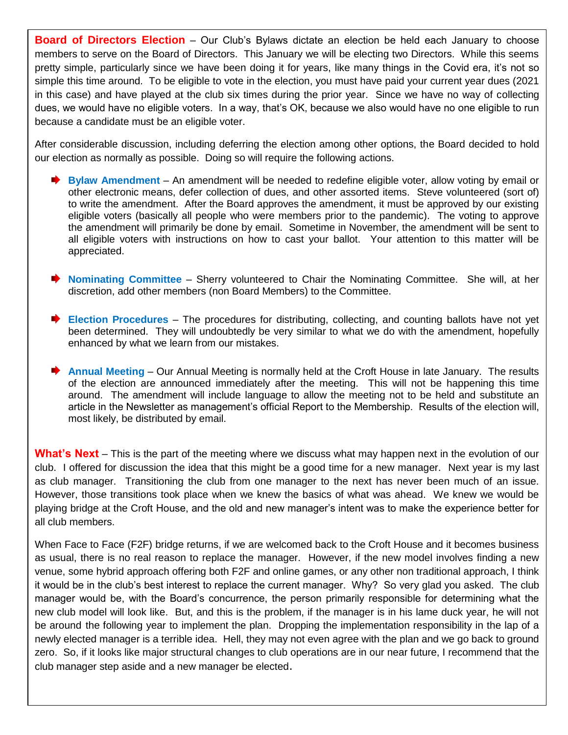**Board of Directors Election** – Our Club's Bylaws dictate an election be held each January to choose members to serve on the Board of Directors. This January we will be electing two Directors. While this seems pretty simple, particularly since we have been doing it for years, like many things in the Covid era, it's not so simple this time around. To be eligible to vote in the election, you must have paid your current year dues (2021 in this case) and have played at the club six times during the prior year. Since we have no way of collecting dues, we would have no eligible voters. In a way, that's OK, because we also would have no one eligible to run because a candidate must be an eligible voter.

After considerable discussion, including deferring the election among other options, the Board decided to hold our election as normally as possible. Doing so will require the following actions.

- **Bylaw Amendment** An amendment will be needed to redefine eligible voter, allow voting by email or other electronic means, defer collection of dues, and other assorted items. Steve volunteered (sort of) to write the amendment. After the Board approves the amendment, it must be approved by our existing eligible voters (basically all people who were members prior to the pandemic). The voting to approve the amendment will primarily be done by email. Sometime in November, the amendment will be sent to all eligible voters with instructions on how to cast your ballot. Your attention to this matter will be appreciated.
- **Nominating Committee** Sherry volunteered to Chair the Nominating Committee. She will, at her discretion, add other members (non Board Members) to the Committee.
- **Election Procedures** The procedures for distributing, collecting, and counting ballots have not yet been determined. They will undoubtedly be very similar to what we do with the amendment, hopefully enhanced by what we learn from our mistakes.
- **★ Annual Meeting** Our Annual Meeting is normally held at the Croft House in late January. The results of the election are announced immediately after the meeting. This will not be happening this time around. The amendment will include language to allow the meeting not to be held and substitute an article in the Newsletter as management's official Report to the Membership. Results of the election will, most likely, be distributed by email.

**What's Next** – This is the part of the meeting where we discuss what may happen next in the evolution of our club. I offered for discussion the idea that this might be a good time for a new manager. Next year is my last as club manager. Transitioning the club from one manager to the next has never been much of an issue. However, those transitions took place when we knew the basics of what was ahead. We knew we would be playing bridge at the Croft House, and the old and new manager's intent was to make the experience better for all club members.

When Face to Face (F2F) bridge returns, if we are welcomed back to the Croft House and it becomes business as usual, there is no real reason to replace the manager. However, if the new model involves finding a new venue, some hybrid approach offering both F2F and online games, or any other non traditional approach, I think it would be in the club's best interest to replace the current manager. Why? So very glad you asked. The club manager would be, with the Board's concurrence, the person primarily responsible for determining what the new club model will look like. But, and this is the problem, if the manager is in his lame duck year, he will not be around the following year to implement the plan. Dropping the implementation responsibility in the lap of a newly elected manager is a terrible idea. Hell, they may not even agree with the plan and we go back to ground zero. So, if it looks like major structural changes to club operations are in our near future, I recommend that the club manager step aside and a new manager be elected.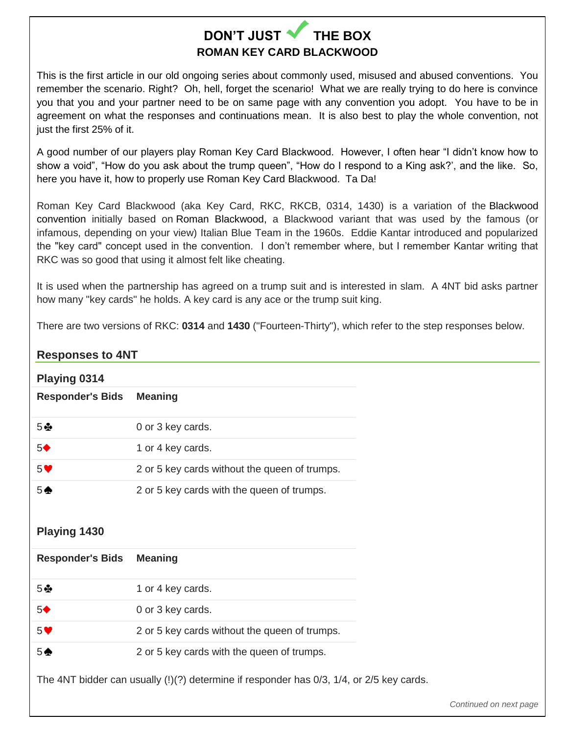## **DON'T JUST THE BOX ROMAN KEY CARD BLACKWOOD**

This is the first article in our old ongoing series about commonly used, misused and abused conventions. You remember the scenario. Right? Oh, hell, forget the scenario! What we are really trying to do here is convince you that you and your partner need to be on same page with any convention you adopt. You have to be in agreement on what the responses and continuations mean. It is also best to play the whole convention, not just the first 25% of it.

A good number of our players play Roman Key Card Blackwood. However, I often hear "I didn't know how to show a void", "How do you ask about the trump queen", "How do I respond to a King ask?', and the like. So, here you have it, how to properly use Roman Key Card Blackwood. Ta Da!

Roman Key Card Blackwood (aka Key Card, RKC, RKCB, 0314, 1430) is a variation of the [Blackwood](https://www.bridgebum.com/blackwood.php)  [convention](https://www.bridgebum.com/blackwood.php) initially based on [Roman Blackwood,](https://www.bridgebum.com/roman_blackwood.php) a Blackwood variant that was used by the famous (or infamous, depending on your view) Italian Blue Team in the 1960s. Eddie Kantar introduced and popularized the "key card" concept used in the convention. I don't remember where, but I remember Kantar writing that RKC was so good that using it almost felt like cheating.

It is used when the partnership has agreed on a trump suit and is interested in slam. A 4NT bid asks partner how many "key cards" he holds. A key card is any ace or the trump suit king.

There are two versions of RKC: **0314** and **1430** ("Fourteen-Thirty"), which refer to the step responses below.

#### **Responses to 4NT**

| Playing 0314                                                                             |                                               |  |
|------------------------------------------------------------------------------------------|-----------------------------------------------|--|
| <b>Responder's Bids</b>                                                                  | <b>Meaning</b>                                |  |
| 5壘                                                                                       | 0 or 3 key cards.                             |  |
| 5 <sup>4</sup>                                                                           | 1 or 4 key cards.                             |  |
| 5 <sup>o</sup>                                                                           | 2 or 5 key cards without the queen of trumps. |  |
| $5 \spadesuit$                                                                           | 2 or 5 key cards with the queen of trumps.    |  |
|                                                                                          |                                               |  |
| Playing 1430                                                                             |                                               |  |
| <b>Responder's Bids</b>                                                                  | <b>Meaning</b>                                |  |
| 5 ⊕                                                                                      | 1 or 4 key cards.                             |  |
| 5 <sup>4</sup>                                                                           | 0 or 3 key cards.                             |  |
| 5 <sup>o</sup>                                                                           | 2 or 5 key cards without the queen of trumps. |  |
| $5*$                                                                                     | 2 or 5 key cards with the queen of trumps.    |  |
| The 4NT bidder can usually (!)(?) determine if responder has 0/3, 1/4, or 2/5 key cards. |                                               |  |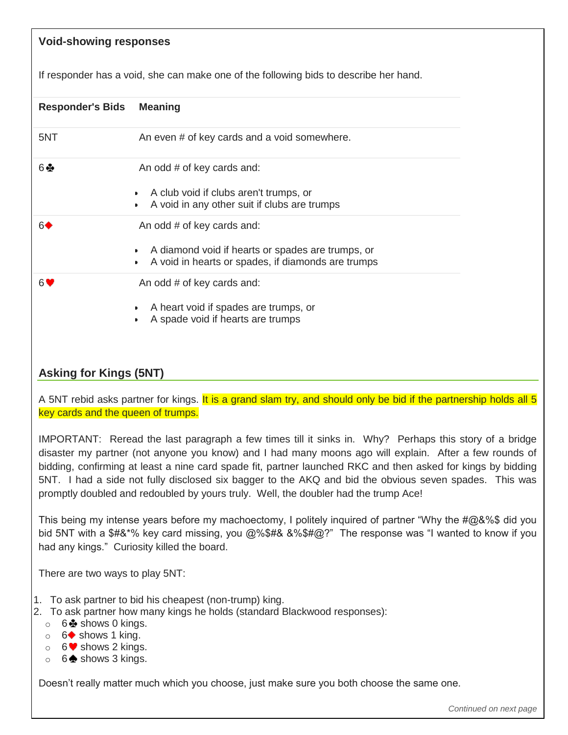## **Void-showing responses** If responder has a void, she can make one of the following bids to describe her hand. **Responder's Bids Meaning** 5NT An even # of key cards and a void somewhere.  $6 - 6$  An odd # of key cards and: A club void if clubs aren't trumps, or A void in any other suit if clubs are trumps  $6 \leftarrow$  An odd # of key cards and: A diamond void if hearts or spades are trumps, or A void in hearts or spades, if diamonds are trumps  $6$   $\bullet$  An odd # of key cards and: A heart void if spades are trumps, or A spade void if hearts are trumps **Asking for Kings (5NT)** A 5NT rebid asks partner for kings. It is a grand slam try, and should only be bid if the partnership holds all 5 key cards and the queen of trumps. IMPORTANT: Reread the last paragraph a few times till it sinks in. Why? Perhaps this story of a bridge disaster my partner (not anyone you know) and I had many moons ago will explain. After a few rounds of bidding, confirming at least a nine card spade fit, partner launched RKC and then asked for kings by bidding 5NT. I had a side not fully disclosed six bagger to the AKQ and bid the obvious seven spades. This was promptly doubled and redoubled by yours truly. Well, the doubler had the trump Ace! This being my intense years before my machoectomy, I politely inquired of partner "Why the #@&%\$ did you bid 5NT with a \$#&\*% key card missing, you @%\$#& &%\$#@?" The response was "I wanted to know if you had any kings." Curiosity killed the board. There are two ways to play 5NT: 1. To ask partner to bid his cheapest (non-trump) king. 2. To ask partner how many kings he holds (standard Blackwood responses):  $\circ$  6  $\bullet$  shows 0 kings.  $\circ$  6  $\bullet$  shows 1 king.  $\circ$  6  $\blacktriangleright$  shows 2 kings.  $\circ$  6  $\clubsuit$  shows 3 kings. Doesn't really matter much which you choose, just make sure you both choose the same one. *Continued on next page*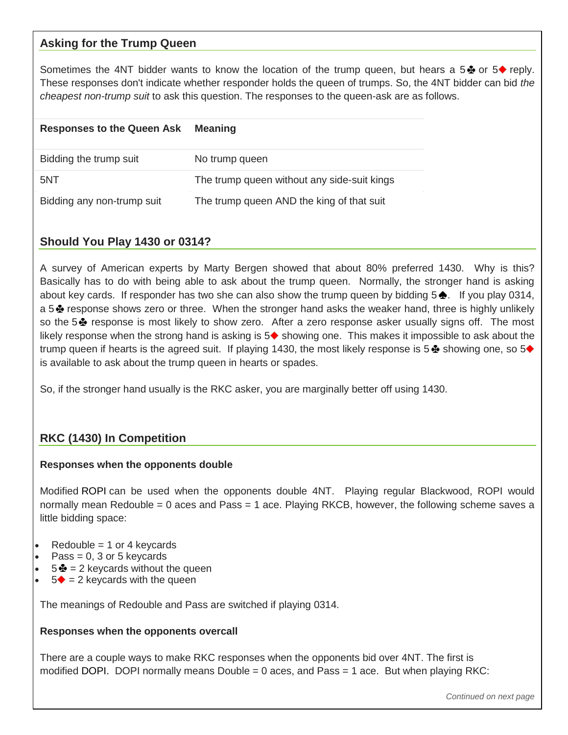#### **Asking for the Trump Queen**

Sometimes the 4NT bidder wants to know the location of the trump queen, but hears a 5  $\bullet$  or 5 $\bullet$  reply. These responses don't indicate whether responder holds the queen of trumps. So, the 4NT bidder can bid *the cheapest non-trump suit* to ask this question. The responses to the queen-ask are as follows.

| <b>Responses to the Queen Ask</b> | <b>Meaning</b>                              |
|-----------------------------------|---------------------------------------------|
| Bidding the trump suit            | No trump queen                              |
| 5NT                               | The trump queen without any side-suit kings |
| Bidding any non-trump suit        | The trump queen AND the king of that suit   |

#### **Should You Play 1430 or 0314?**

A survey of American experts by Marty Bergen showed that about 80% preferred 1430. Why is this? Basically has to do with being able to ask about the trump queen. Normally, the stronger hand is asking about key cards. If responder has two she can also show the trump queen by bidding  $5 \triangle$ . If you play 0314, a 5  $\clubsuit$  response shows zero or three. When the stronger hand asks the weaker hand, three is highly unlikely so the 5 $\clubsuit$  response is most likely to show zero. After a zero response asker usually signs off. The most likely response when the strong hand is asking is  $5\blacklozenge$  showing one. This makes it impossible to ask about the trump queen if hearts is the agreed suit. If playing 1430, the most likely response is  $5\clubsuit$  showing one, so  $5\spadesuit$ is available to ask about the trump queen in hearts or spades.

So, if the stronger hand usually is the RKC asker, you are marginally better off using 1430.

### **RKC (1430) In Competition**

#### **Responses when the opponents double**

Modified [ROPI](https://www.bridgebum.com/ropi.php) can be used when the opponents double 4NT. Playing regular Blackwood, ROPI would normally mean Redouble = 0 aces and Pass = 1 ace. Playing RKCB, however, the following scheme saves a little bidding space:

- $Redouble = 1$  or 4 keycards
- Pass =  $0, 3$  or 5 keycards
- $5\clubsuit$  = 2 keycards without the queen
- $5 \triangleq 2$  keycards with the queen

The meanings of Redouble and Pass are switched if playing 0314.

#### **Responses when the opponents overcall**

There are a couple ways to make RKC responses when the opponents bid over 4NT. The first is modified [DOPI.](https://www.bridgebum.com/double_0_pass_1.php) DOPI normally means Double  $= 0$  aces, and Pass  $= 1$  ace. But when playing RKC: